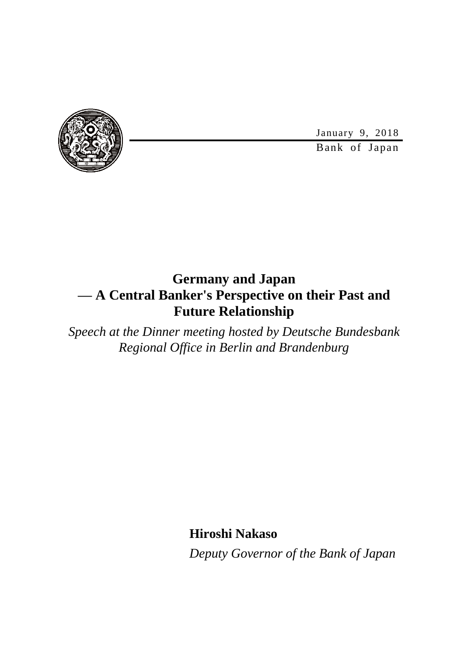January 9, 2018



Bank of Japan

## **Germany and Japan — A Central Banker's Perspective on their Past and Future Relationship**

*Speech at the Dinner meeting hosted by Deutsche Bundesbank Regional Office in Berlin and Brandenburg*

**Hiroshi Nakaso**

*Deputy Governor of the Bank of Japan*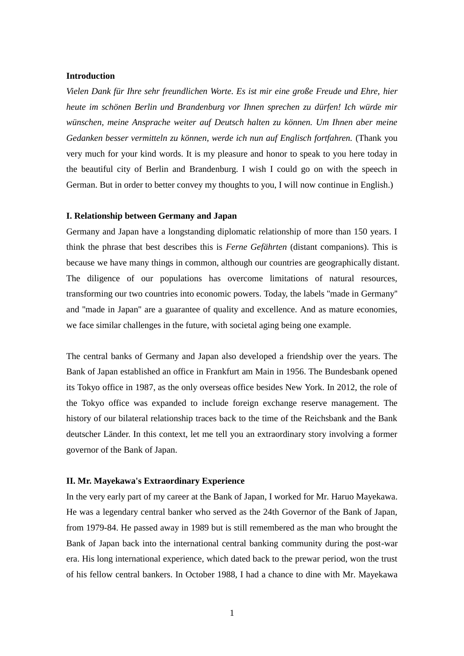#### **Introduction**

*Vielen Dank für Ihre sehr freundlichen Worte. Es ist mir eine große Freude und Ehre, hier heute im schönen Berlin und Brandenburg vor Ihnen sprechen zu dürfen! Ich würde mir wünschen, meine Ansprache weiter auf Deutsch halten zu können. Um Ihnen aber meine Gedanken besser vermitteln zu können, werde ich nun auf Englisch fortfahren.* (Thank you very much for your kind words. It is my pleasure and honor to speak to you here today in the beautiful city of Berlin and Brandenburg. I wish I could go on with the speech in German. But in order to better convey my thoughts to you, I will now continue in English.)

#### **I. Relationship between Germany and Japan**

Germany and Japan have a longstanding diplomatic relationship of more than 150 years. I think the phrase that best describes this is *Ferne Gefährten* (distant companions). This is because we have many things in common, although our countries are geographically distant. The diligence of our populations has overcome limitations of natural resources, transforming our two countries into economic powers. Today, the labels ''made in Germany'' and ''made in Japan'' are a guarantee of quality and excellence. And as mature economies, we face similar challenges in the future, with societal aging being one example.

The central banks of Germany and Japan also developed a friendship over the years. The Bank of Japan established an office in Frankfurt am Main in 1956. The Bundesbank opened its Tokyo office in 1987, as the only overseas office besides New York. In 2012, the role of the Tokyo office was expanded to include foreign exchange reserve management. The history of our bilateral relationship traces back to the time of the Reichsbank and the Bank deutscher Länder. In this context, let me tell you an extraordinary story involving a former governor of the Bank of Japan.

#### **II. Mr. Mayekawa's Extraordinary Experience**

In the very early part of my career at the Bank of Japan, I worked for Mr. Haruo Mayekawa. He was a legendary central banker who served as the 24th Governor of the Bank of Japan, from 1979-84. He passed away in 1989 but is still remembered as the man who brought the Bank of Japan back into the international central banking community during the post-war era. His long international experience, which dated back to the prewar period, won the trust of his fellow central bankers. In October 1988, I had a chance to dine with Mr. Mayekawa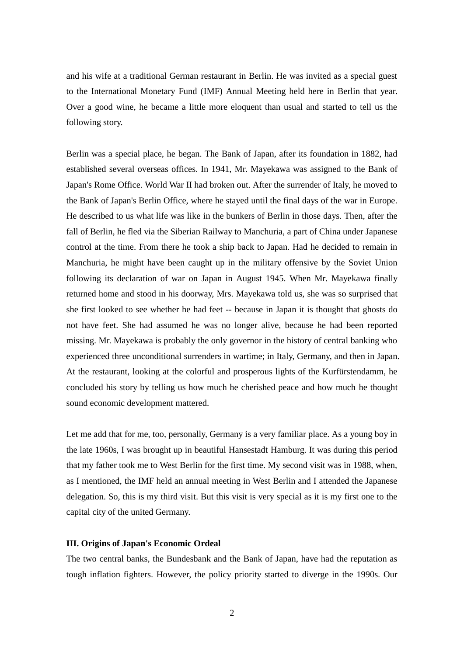and his wife at a traditional German restaurant in Berlin. He was invited as a special guest to the International Monetary Fund (IMF) Annual Meeting held here in Berlin that year. Over a good wine, he became a little more eloquent than usual and started to tell us the following story.

Berlin was a special place, he began. The Bank of Japan, after its foundation in 1882, had established several overseas offices. In 1941, Mr. Mayekawa was assigned to the Bank of Japan's Rome Office. World War II had broken out. After the surrender of Italy, he moved to the Bank of Japan's Berlin Office, where he stayed until the final days of the war in Europe. He described to us what life was like in the bunkers of Berlin in those days. Then, after the fall of Berlin, he fled via the Siberian Railway to Manchuria, a part of China under Japanese control at the time. From there he took a ship back to Japan. Had he decided to remain in Manchuria, he might have been caught up in the military offensive by the Soviet Union following its declaration of war on Japan in August 1945. When Mr. Mayekawa finally returned home and stood in his doorway, Mrs. Mayekawa told us, she was so surprised that she first looked to see whether he had feet -- because in Japan it is thought that ghosts do not have feet. She had assumed he was no longer alive, because he had been reported missing. Mr. Mayekawa is probably the only governor in the history of central banking who experienced three unconditional surrenders in wartime; in Italy, Germany, and then in Japan. At the restaurant, looking at the colorful and prosperous lights of the Kurfürstendamm, he concluded his story by telling us how much he cherished peace and how much he thought sound economic development mattered.

Let me add that for me, too, personally, Germany is a very familiar place. As a young boy in the late 1960s, I was brought up in beautiful Hansestadt Hamburg. It was during this period that my father took me to West Berlin for the first time. My second visit was in 1988, when, as I mentioned, the IMF held an annual meeting in West Berlin and I attended the Japanese delegation. So, this is my third visit. But this visit is very special as it is my first one to the capital city of the united Germany.

### **III. Origins of Japan's Economic Ordeal**

The two central banks, the Bundesbank and the Bank of Japan, have had the reputation as tough inflation fighters. However, the policy priority started to diverge in the 1990s. Our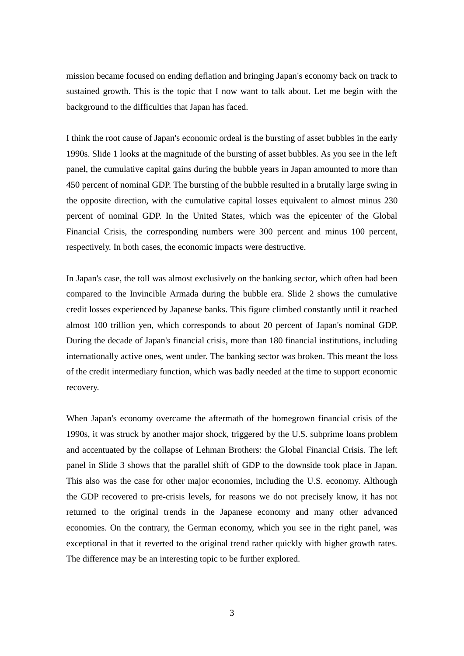mission became focused on ending deflation and bringing Japan's economy back on track to sustained growth. This is the topic that I now want to talk about. Let me begin with the background to the difficulties that Japan has faced.

I think the root cause of Japan's economic ordeal is the bursting of asset bubbles in the early 1990s. Slide 1 looks at the magnitude of the bursting of asset bubbles. As you see in the left panel, the cumulative capital gains during the bubble years in Japan amounted to more than 450 percent of nominal GDP. The bursting of the bubble resulted in a brutally large swing in the opposite direction, with the cumulative capital losses equivalent to almost minus 230 percent of nominal GDP. In the United States, which was the epicenter of the Global Financial Crisis, the corresponding numbers were 300 percent and minus 100 percent, respectively. In both cases, the economic impacts were destructive.

In Japan's case, the toll was almost exclusively on the banking sector, which often had been compared to the Invincible Armada during the bubble era. Slide 2 shows the cumulative credit losses experienced by Japanese banks. This figure climbed constantly until it reached almost 100 trillion yen, which corresponds to about 20 percent of Japan's nominal GDP. During the decade of Japan's financial crisis, more than 180 financial institutions, including internationally active ones, went under. The banking sector was broken. This meant the loss of the credit intermediary function, which was badly needed at the time to support economic recovery.

When Japan's economy overcame the aftermath of the homegrown financial crisis of the 1990s, it was struck by another major shock, triggered by the U.S. subprime loans problem and accentuated by the collapse of Lehman Brothers: the Global Financial Crisis. The left panel in Slide 3 shows that the parallel shift of GDP to the downside took place in Japan. This also was the case for other major economies, including the U.S. economy. Although the GDP recovered to pre-crisis levels, for reasons we do not precisely know, it has not returned to the original trends in the Japanese economy and many other advanced economies. On the contrary, the German economy, which you see in the right panel, was exceptional in that it reverted to the original trend rather quickly with higher growth rates. The difference may be an interesting topic to be further explored.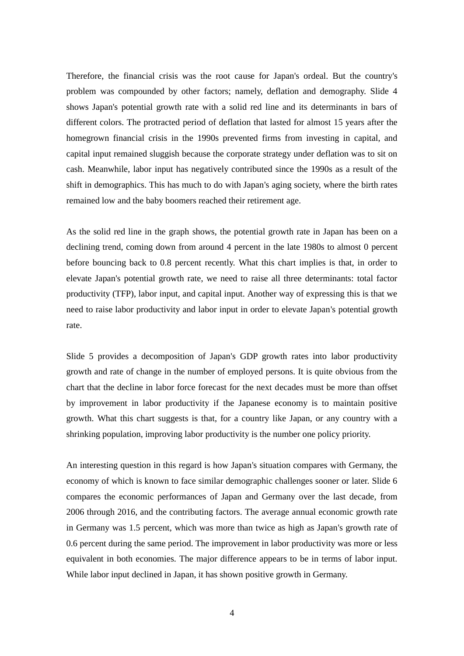Therefore, the financial crisis was the root cause for Japan's ordeal. But the country's problem was compounded by other factors; namely, deflation and demography. Slide 4 shows Japan's potential growth rate with a solid red line and its determinants in bars of different colors. The protracted period of deflation that lasted for almost 15 years after the homegrown financial crisis in the 1990s prevented firms from investing in capital, and capital input remained sluggish because the corporate strategy under deflation was to sit on cash. Meanwhile, labor input has negatively contributed since the 1990s as a result of the shift in demographics. This has much to do with Japan's aging society, where the birth rates remained low and the baby boomers reached their retirement age.

As the solid red line in the graph shows, the potential growth rate in Japan has been on a declining trend, coming down from around 4 percent in the late 1980s to almost 0 percent before bouncing back to 0.8 percent recently. What this chart implies is that, in order to elevate Japan's potential growth rate, we need to raise all three determinants: total factor productivity (TFP), labor input, and capital input. Another way of expressing this is that we need to raise labor productivity and labor input in order to elevate Japan's potential growth rate.

Slide 5 provides a decomposition of Japan's GDP growth rates into labor productivity growth and rate of change in the number of employed persons. It is quite obvious from the chart that the decline in labor force forecast for the next decades must be more than offset by improvement in labor productivity if the Japanese economy is to maintain positive growth. What this chart suggests is that, for a country like Japan, or any country with a shrinking population, improving labor productivity is the number one policy priority.

An interesting question in this regard is how Japan's situation compares with Germany, the economy of which is known to face similar demographic challenges sooner or later. Slide 6 compares the economic performances of Japan and Germany over the last decade, from 2006 through 2016, and the contributing factors. The average annual economic growth rate in Germany was 1.5 percent, which was more than twice as high as Japan's growth rate of 0.6 percent during the same period. The improvement in labor productivity was more or less equivalent in both economies. The major difference appears to be in terms of labor input. While labor input declined in Japan, it has shown positive growth in Germany.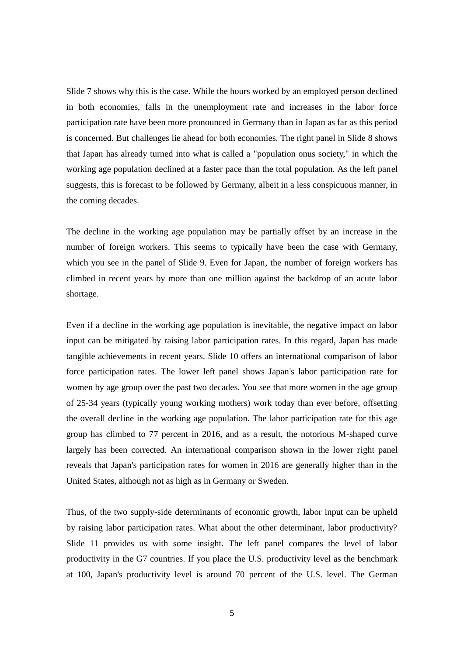Slide 7 shows why this is the case. While the hours worked by an employed person declined in both economies, falls in the unemployment rate and increases in the labor force participation rate have been more pronounced in Germany than in Japan as far as this period is concerned. But challenges lie ahead for both economies. The right panel in Slide 8 shows that Japan has already turned into what is called a "population onus society," in which the working age population declined at a faster pace than the total population. As the left panel suggests, this is forecast to be followed by Germany, albeit in a less conspicuous manner, in the coming decades.

The decline in the working age population may be partially offset by an increase in the number of foreign workers. This seems to typically have been the case with Germany, which you see in the panel of Slide 9. Even for Japan, the number of foreign workers has climbed in recent years by more than one million against the backdrop of an acute labor shortage.

Even if a decline in the working age population is inevitable, the negative impact on labor input can be mitigated by raising labor participation rates. In this regard, Japan has made tangible achievements in recent years. Slide 10 offers an international comparison of labor force participation rates. The lower left panel shows Japan's labor participation rate for women by age group over the past two decades. You see that more women in the age group of 25-34 years (typically young working mothers) work today than ever before, offsetting the overall decline in the working age population. The labor participation rate for this age group has climbed to 77 percent in 2016, and as a result, the notorious M-shaped curve largely has been corrected. An international comparison shown in the lower right panel reveals that Japan's participation rates for women in 2016 are generally higher than in the United States, although not as high as in Germany or Sweden.

Thus, of the two supply-side determinants of economic growth, labor input can be upheld by raising labor participation rates. What about the other determinant, labor productivity? Slide 11 provides us with some insight. The left panel compares the level of labor productivity in the G7 countries. If you place the U.S. productivity level as the benchmark at 100, Japan's productivity level is around 70 percent of the U.S. level. The German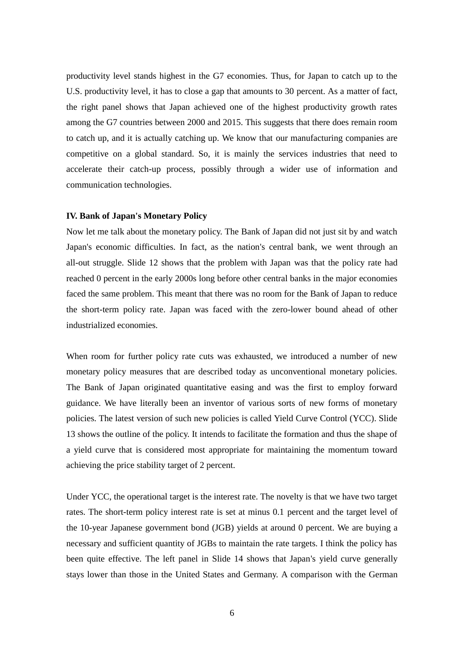productivity level stands highest in the G7 economies. Thus, for Japan to catch up to the U.S. productivity level, it has to close a gap that amounts to 30 percent. As a matter of fact, the right panel shows that Japan achieved one of the highest productivity growth rates among the G7 countries between 2000 and 2015. This suggests that there does remain room to catch up, and it is actually catching up. We know that our manufacturing companies are competitive on a global standard. So, it is mainly the services industries that need to accelerate their catch-up process, possibly through a wider use of information and communication technologies.

#### **IV. Bank of Japan's Monetary Policy**

Now let me talk about the monetary policy. The Bank of Japan did not just sit by and watch Japan's economic difficulties. In fact, as the nation's central bank, we went through an all-out struggle. Slide 12 shows that the problem with Japan was that the policy rate had reached 0 percent in the early 2000s long before other central banks in the major economies faced the same problem. This meant that there was no room for the Bank of Japan to reduce the short-term policy rate. Japan was faced with the zero-lower bound ahead of other industrialized economies.

When room for further policy rate cuts was exhausted, we introduced a number of new monetary policy measures that are described today as unconventional monetary policies. The Bank of Japan originated quantitative easing and was the first to employ forward guidance. We have literally been an inventor of various sorts of new forms of monetary policies. The latest version of such new policies is called Yield Curve Control (YCC). Slide 13 shows the outline of the policy. It intends to facilitate the formation and thus the shape of a yield curve that is considered most appropriate for maintaining the momentum toward achieving the price stability target of 2 percent.

Under YCC, the operational target is the interest rate. The novelty is that we have two target rates. The short-term policy interest rate is set at minus 0.1 percent and the target level of the 10-year Japanese government bond (JGB) yields at around 0 percent. We are buying a necessary and sufficient quantity of JGBs to maintain the rate targets. I think the policy has been quite effective. The left panel in Slide 14 shows that Japan's yield curve generally stays lower than those in the United States and Germany. A comparison with the German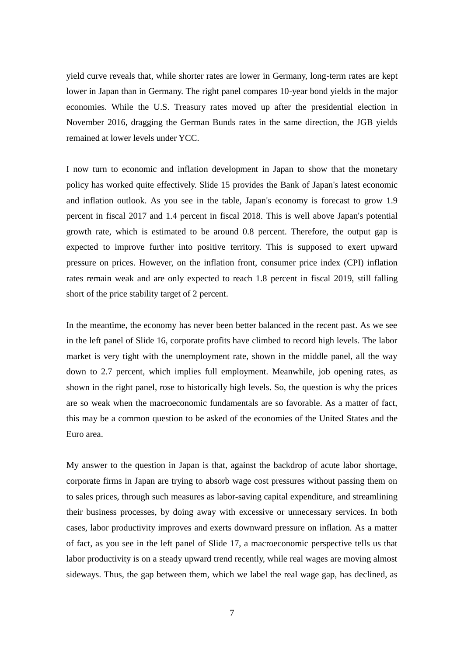yield curve reveals that, while shorter rates are lower in Germany, long-term rates are kept lower in Japan than in Germany. The right panel compares 10-year bond yields in the major economies. While the U.S. Treasury rates moved up after the presidential election in November 2016, dragging the German Bunds rates in the same direction, the JGB yields remained at lower levels under YCC.

I now turn to economic and inflation development in Japan to show that the monetary policy has worked quite effectively. Slide 15 provides the Bank of Japan's latest economic and inflation outlook. As you see in the table, Japan's economy is forecast to grow 1.9 percent in fiscal 2017 and 1.4 percent in fiscal 2018. This is well above Japan's potential growth rate, which is estimated to be around 0.8 percent. Therefore, the output gap is expected to improve further into positive territory. This is supposed to exert upward pressure on prices. However, on the inflation front, consumer price index (CPI) inflation rates remain weak and are only expected to reach 1.8 percent in fiscal 2019, still falling short of the price stability target of 2 percent.

In the meantime, the economy has never been better balanced in the recent past. As we see in the left panel of Slide 16, corporate profits have climbed to record high levels. The labor market is very tight with the unemployment rate, shown in the middle panel, all the way down to 2.7 percent, which implies full employment. Meanwhile, job opening rates, as shown in the right panel, rose to historically high levels. So, the question is why the prices are so weak when the macroeconomic fundamentals are so favorable. As a matter of fact, this may be a common question to be asked of the economies of the United States and the Euro area.

My answer to the question in Japan is that, against the backdrop of acute labor shortage, corporate firms in Japan are trying to absorb wage cost pressures without passing them on to sales prices, through such measures as labor-saving capital expenditure, and streamlining their business processes, by doing away with excessive or unnecessary services. In both cases, labor productivity improves and exerts downward pressure on inflation. As a matter of fact, as you see in the left panel of Slide 17, a macroeconomic perspective tells us that labor productivity is on a steady upward trend recently, while real wages are moving almost sideways. Thus, the gap between them, which we label the real wage gap, has declined, as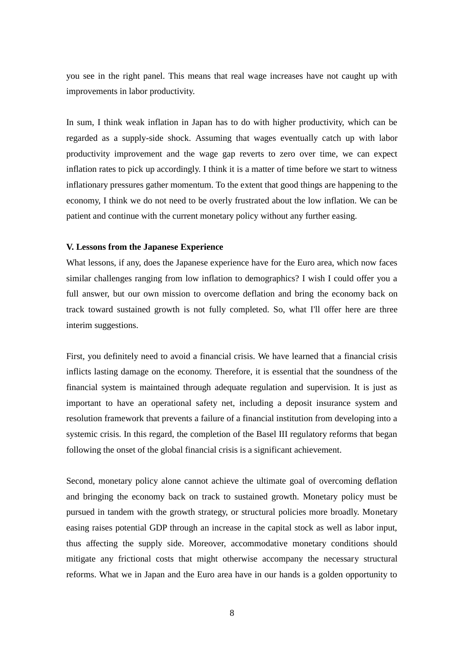you see in the right panel. This means that real wage increases have not caught up with improvements in labor productivity.

In sum, I think weak inflation in Japan has to do with higher productivity, which can be regarded as a supply-side shock. Assuming that wages eventually catch up with labor productivity improvement and the wage gap reverts to zero over time, we can expect inflation rates to pick up accordingly. I think it is a matter of time before we start to witness inflationary pressures gather momentum. To the extent that good things are happening to the economy, I think we do not need to be overly frustrated about the low inflation. We can be patient and continue with the current monetary policy without any further easing.

#### **V. Lessons from the Japanese Experience**

What lessons, if any, does the Japanese experience have for the Euro area, which now faces similar challenges ranging from low inflation to demographics? I wish I could offer you a full answer, but our own mission to overcome deflation and bring the economy back on track toward sustained growth is not fully completed. So, what I'll offer here are three interim suggestions.

First, you definitely need to avoid a financial crisis. We have learned that a financial crisis inflicts lasting damage on the economy. Therefore, it is essential that the soundness of the financial system is maintained through adequate regulation and supervision. It is just as important to have an operational safety net, including a deposit insurance system and resolution framework that prevents a failure of a financial institution from developing into a systemic crisis. In this regard, the completion of the Basel III regulatory reforms that began following the onset of the global financial crisis is a significant achievement.

Second, monetary policy alone cannot achieve the ultimate goal of overcoming deflation and bringing the economy back on track to sustained growth. Monetary policy must be pursued in tandem with the growth strategy, or structural policies more broadly. Monetary easing raises potential GDP through an increase in the capital stock as well as labor input, thus affecting the supply side. Moreover, accommodative monetary conditions should mitigate any frictional costs that might otherwise accompany the necessary structural reforms. What we in Japan and the Euro area have in our hands is a golden opportunity to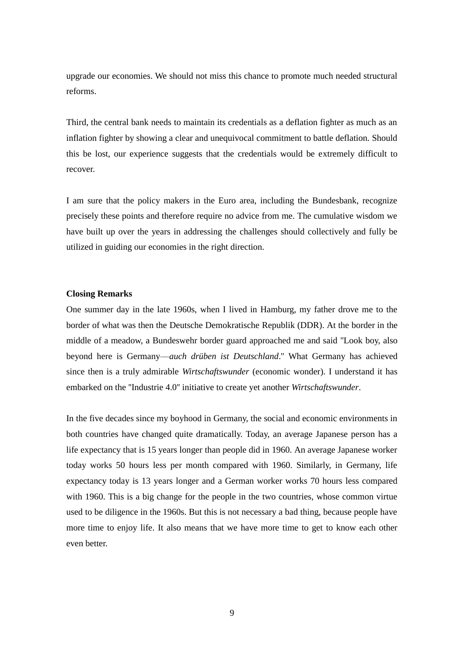upgrade our economies. We should not miss this chance to promote much needed structural reforms.

Third, the central bank needs to maintain its credentials as a deflation fighter as much as an inflation fighter by showing a clear and unequivocal commitment to battle deflation. Should this be lost, our experience suggests that the credentials would be extremely difficult to recover.

I am sure that the policy makers in the Euro area, including the Bundesbank, recognize precisely these points and therefore require no advice from me. The cumulative wisdom we have built up over the years in addressing the challenges should collectively and fully be utilized in guiding our economies in the right direction.

### **Closing Remarks**

One summer day in the late 1960s, when I lived in Hamburg, my father drove me to the border of what was then the Deutsche Demokratische Republik (DDR). At the border in the middle of a meadow, a Bundeswehr border guard approached me and said ''Look boy, also beyond here is Germany—*auch drüben ist Deutschland*.'' What Germany has achieved since then is a truly admirable *Wirtschaftswunder* (economic wonder). I understand it has embarked on the ''Industrie 4.0'' initiative to create yet another *Wirtschaftswunder*.

In the five decades since my boyhood in Germany, the social and economic environments in both countries have changed quite dramatically. Today, an average Japanese person has a life expectancy that is 15 years longer than people did in 1960. An average Japanese worker today works 50 hours less per month compared with 1960. Similarly, in Germany, life expectancy today is 13 years longer and a German worker works 70 hours less compared with 1960. This is a big change for the people in the two countries, whose common virtue used to be diligence in the 1960s. But this is not necessary a bad thing, because people have more time to enjoy life. It also means that we have more time to get to know each other even better.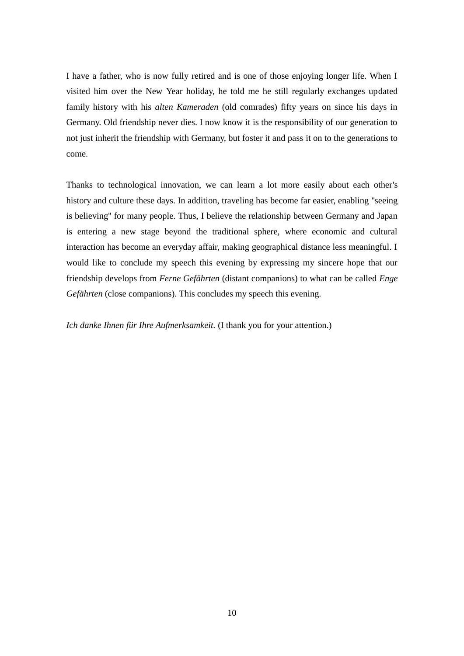I have a father, who is now fully retired and is one of those enjoying longer life. When I visited him over the New Year holiday, he told me he still regularly exchanges updated family history with his *alten Kameraden* (old comrades) fifty years on since his days in Germany. Old friendship never dies. I now know it is the responsibility of our generation to not just inherit the friendship with Germany, but foster it and pass it on to the generations to come.

Thanks to technological innovation, we can learn a lot more easily about each other's history and culture these days. In addition, traveling has become far easier, enabling ''seeing is believing'' for many people. Thus, I believe the relationship between Germany and Japan is entering a new stage beyond the traditional sphere, where economic and cultural interaction has become an everyday affair, making geographical distance less meaningful. I would like to conclude my speech this evening by expressing my sincere hope that our friendship develops from *Ferne Gefährten* (distant companions) to what can be called *Enge Gefährten* (close companions). This concludes my speech this evening.

*Ich danke Ihnen für Ihre Aufmerksamkeit.* (I thank you for your attention.)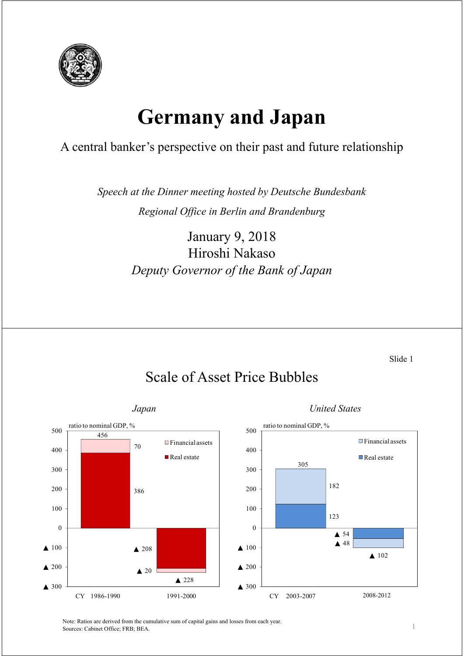

# **Germany and Japan**

### A central banker's perspective on their past and future relationship

*Speech at the Dinner meeting hosted by Deutsche Bundesbank Regional Office in Berlin and Brandenburg*

> January 9, 2018 Hiroshi Nakaso *Deputy Governor of the Bank of Japan*

> > Slide 1



# Scale of Asset Price Bubbles

Note: Ratios are derived from the cumulative sum of capital gains and losses from each year. Sources: Cabinet Office; FRB; BEA.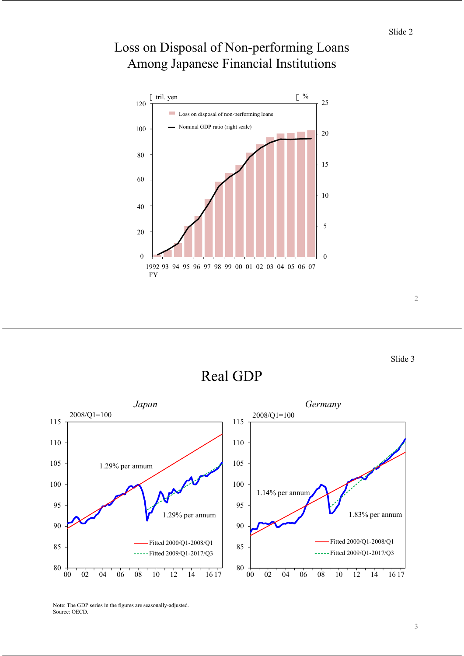

### Loss on Disposal of Non-performing Loans Among Japanese Financial Institutions

Slide 3

Real GDP



Note: The GDP series in the figures are seasonally-adjusted. Source: OECD.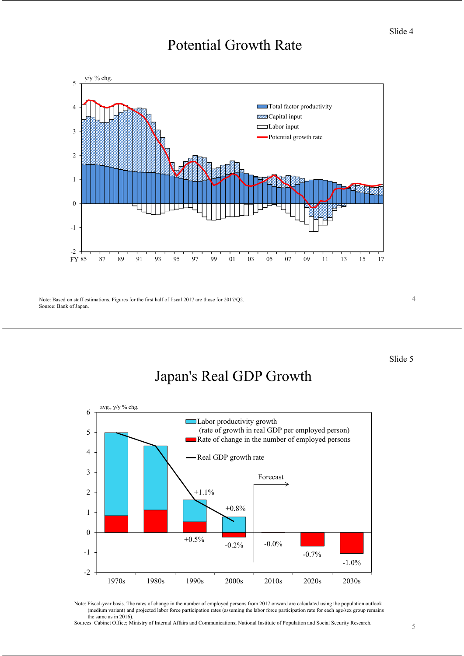# Potential Growth Rate



Note: Based on staff estimations. Figures for the first half of fiscal 2017 are those for 2017/Q2.

Source: Bank of Japan.

Slide 5

4

# Japan's Real GDP Growth



Note: Fiscal-year basis. The rates of change in the number of employed persons from 2017 onward are calculated using the population outlook (medium variant) and projected labor force participation rates (assuming the labor force participation rate for each age/sex group remains the same as in 2016).

Sources: Cabinet Office; Ministry of Internal Affairs and Communications; National Institute of Population and Social Security Research.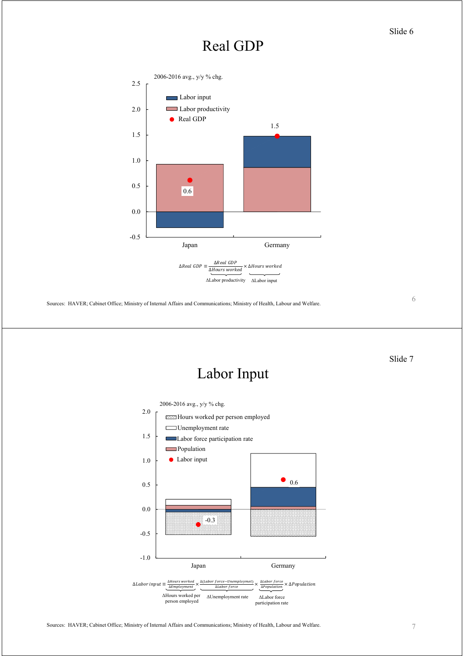### Slide 6

## Real GDP



Sources: HAVER; Cabinet Office; Ministry of Internal Affairs and Communications; Ministry of Health, Labour and Welfare.

6

Slide 7

# Labor Input

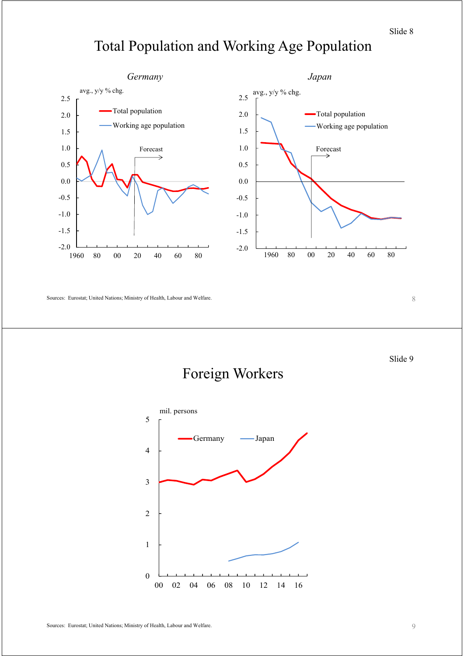# Total Population and Working Age Population



Sources: Eurostat; United Nations; Ministry of Health, Labour and Welfare.

8

Slide 9

### Foreign Workers

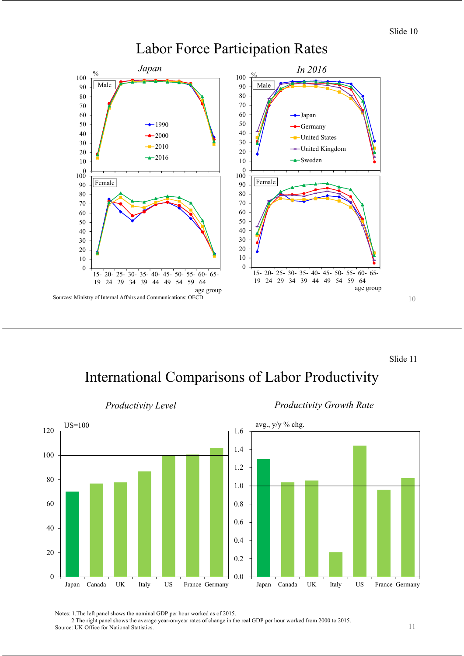

Labor Force Participation Rates

Slide 11

### International Comparisons of Labor Productivity





Notes: 1.The left panel shows the nominal GDP per hour worked as of 2015.

2.The right panel shows the average year-on-year rates of change in the real GDP per hour worked from 2000 to 2015. Source: UK Office for National Statistics.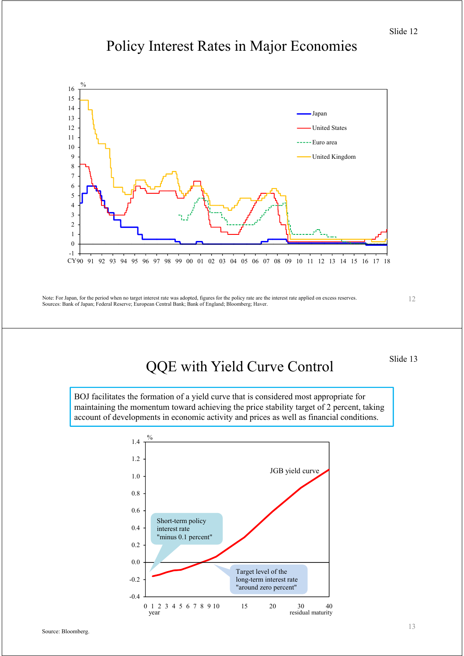Slide 12

# Policy Interest Rates in Major Economies



Note: For Japan, for the period when no target interest rate was adopted, figures for the policy rate are the interest rate applied on excess reserves. Sources: Bank of Japan; Federal Reserve; European Central Bank; Bank of England; Bloomberg; Haver.

12

# QQE with Yield Curve Control

Slide 13

BOJ facilitates the formation of a yield curve that is considered most appropriate for maintaining the momentum toward achieving the price stability target of 2 percent, taking account of developments in economic activity and prices as well as financial conditions.

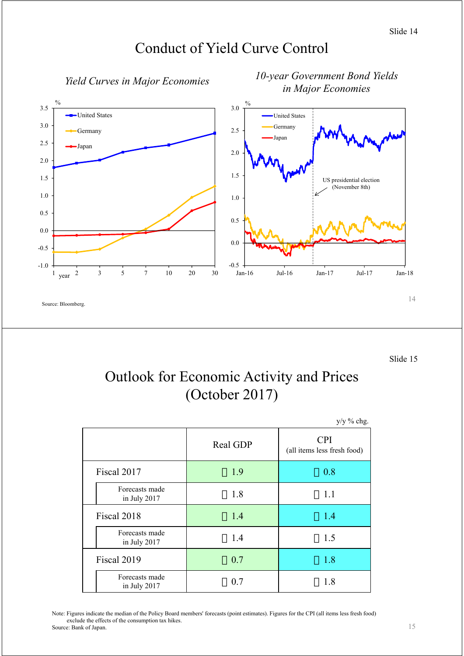



Slide 15

# Outlook for Economic Activity and Prices (October 2017)

|                                |          | $y/y$ % chg.                              |
|--------------------------------|----------|-------------------------------------------|
|                                | Real GDP | <b>CPI</b><br>(all items less fresh food) |
| Fiscal 2017                    | 1.9      | 0.8                                       |
| Forecasts made<br>in July 2017 | 1.8      | 1.1                                       |
| Fiscal 2018                    | 1.4      | 1.4                                       |
| Forecasts made<br>in July 2017 | 1.4      | 1.5                                       |
| Fiscal 2019                    | 0.7      | 1.8                                       |
| Forecasts made<br>in July 2017 | 0.7      | 1.8                                       |

Note: Figures indicate the median of the Policy Board members' forecasts (point estimates). Figures for the CPI (all items less fresh food) exclude the effects of the consumption tax hikes. Source: Bank of Japan.